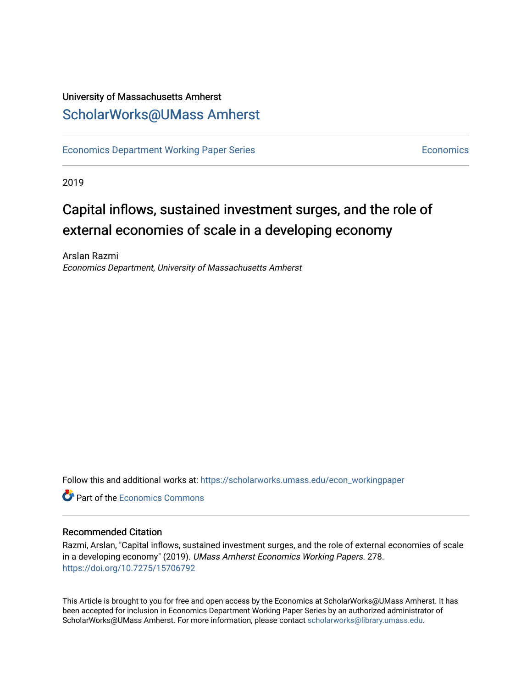# University of Massachusetts Amherst [ScholarWorks@UMass Amherst](https://scholarworks.umass.edu/)

[Economics Department Working Paper Series](https://scholarworks.umass.edu/econ_workingpaper) **Economics** [Economics](https://scholarworks.umass.edu/economics) Economics

2019

# Capital inflows, sustained investment surges, and the role of external economies of scale in a developing economy

Arslan Razmi Economics Department, University of Massachusetts Amherst

Follow this and additional works at: [https://scholarworks.umass.edu/econ\\_workingpaper](https://scholarworks.umass.edu/econ_workingpaper?utm_source=scholarworks.umass.edu%2Fecon_workingpaper%2F278&utm_medium=PDF&utm_campaign=PDFCoverPages) 

**C**<sup> $\bullet$ </sup> Part of the [Economics Commons](http://network.bepress.com/hgg/discipline/340?utm_source=scholarworks.umass.edu%2Fecon_workingpaper%2F278&utm_medium=PDF&utm_campaign=PDFCoverPages)

## Recommended Citation

Razmi, Arslan, "Capital inflows, sustained investment surges, and the role of external economies of scale in a developing economy" (2019). UMass Amherst Economics Working Papers. 278. <https://doi.org/10.7275/15706792>

This Article is brought to you for free and open access by the Economics at ScholarWorks@UMass Amherst. It has been accepted for inclusion in Economics Department Working Paper Series by an authorized administrator of ScholarWorks@UMass Amherst. For more information, please contact [scholarworks@library.umass.edu.](mailto:scholarworks@library.umass.edu)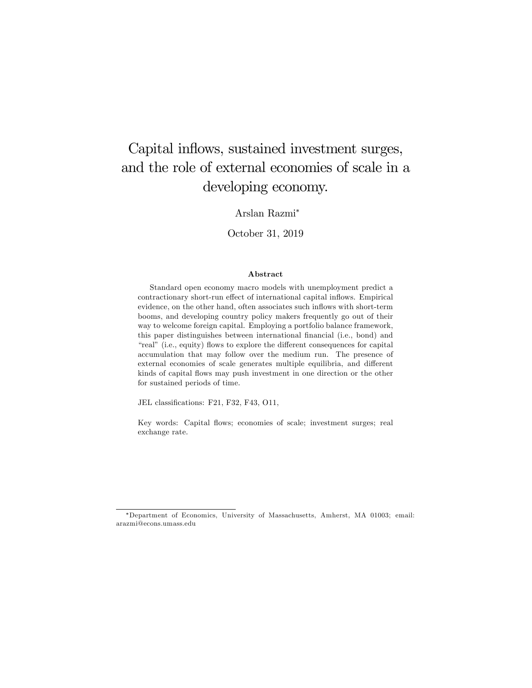# Capital inflows, sustained investment surges, and the role of external economies of scale in a developing economy.

Arslan Razmi

October 31, 2019

#### Abstract

Standard open economy macro models with unemployment predict a contractionary short-run effect of international capital inflows. Empirical evidence, on the other hand, often associates such inflows with short-term booms, and developing country policy makers frequently go out of their way to welcome foreign capital. Employing a portfolio balance framework, this paper distinguishes between international financial (i.e., bond) and "real" (i.e., equity) flows to explore the different consequences for capital accumulation that may follow over the medium run. The presence of external economies of scale generates multiple equilibria, and different kinds of capital flows may push investment in one direction or the other for sustained periods of time.

JEL classifications: F21, F32, F43, O11,

Key words: Capital flows; economies of scale; investment surges; real exchange rate.

Department of Economics, University of Massachusetts, Amherst, MA 01003; email: arazmi@econs.umass.edu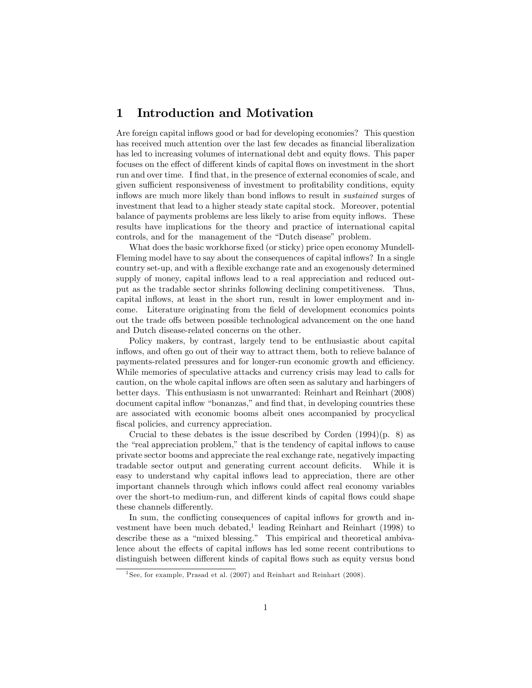# 1 Introduction and Motivation

Are foreign capital inflows good or bad for developing economies? This question has received much attention over the last few decades as financial liberalization has led to increasing volumes of international debt and equity flows. This paper focuses on the effect of different kinds of capital flows on investment in the short run and over time. I find that, in the presence of external economies of scale, and given sufficient responsiveness of investment to profitability conditions, equity inflows are much more likely than bond inflows to result in *sustained* surges of investment that lead to a higher steady state capital stock. Moreover, potential balance of payments problems are less likely to arise from equity inflows. These results have implications for the theory and practice of international capital controls, and for the management of the "Dutch disease" problem.

What does the basic workhorse fixed (or sticky) price open economy Mundell-Fleming model have to say about the consequences of capital inflows? In a single country set-up, and with a áexible exchange rate and an exogenously determined supply of money, capital inflows lead to a real appreciation and reduced output as the tradable sector shrinks following declining competitiveness. Thus, capital ináows, at least in the short run, result in lower employment and income. Literature originating from the Öeld of development economics points out the trade offs between possible technological advancement on the one hand and Dutch disease-related concerns on the other.

Policy makers, by contrast, largely tend to be enthusiastic about capital inflows, and often go out of their way to attract them, both to relieve balance of payments-related pressures and for longer-run economic growth and efficiency. While memories of speculative attacks and currency crisis may lead to calls for caution, on the whole capital inflows are often seen as salutary and harbingers of better days. This enthusiasm is not unwarranted: Reinhart and Reinhart (2008) document capital inflow "bonanzas," and find that, in developing countries these are associated with economic booms albeit ones accompanied by procyclical fiscal policies, and currency appreciation.

Crucial to these debates is the issue described by Corden  $(1994)(p. 8)$  as the "real appreciation problem," that is the tendency of capital inflows to cause private sector booms and appreciate the real exchange rate, negatively impacting tradable sector output and generating current account deficits. While it is easy to understand why capital inflows lead to appreciation, there are other important channels through which inflows could affect real economy variables over the short-to medium-run, and different kinds of capital flows could shape these channels differently.

In sum, the conflicting consequences of capital inflows for growth and investment have been much debated,<sup>1</sup> leading Reinhart and Reinhart (1998) to describe these as a "mixed blessing." This empirical and theoretical ambivalence about the effects of capital inflows has led some recent contributions to distinguish between different kinds of capital flows such as equity versus bond

<sup>&</sup>lt;sup>1</sup> See, for example, Prasad et al. (2007) and Reinhart and Reinhart (2008).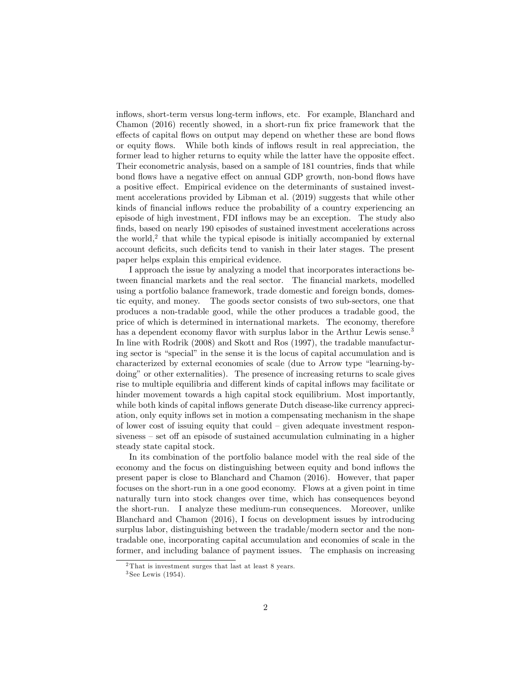inflows, short-term versus long-term inflows, etc. For example, Blanchard and Chamon (2016) recently showed, in a short-run fix price framework that the effects of capital flows on output may depend on whether these are bond flows or equity flows. While both kinds of inflows result in real appreciation, the former lead to higher returns to equity while the latter have the opposite effect. Their econometric analysis, based on a sample of 181 countries, finds that while bond flows have a negative effect on annual GDP growth, non-bond flows have a positive effect. Empirical evidence on the determinants of sustained investment accelerations provided by Libman et al. (2019) suggests that while other kinds of financial inflows reduce the probability of a country experiencing an episode of high investment, FDI inflows may be an exception. The study also finds, based on nearly 190 episodes of sustained investment accelerations across the world,<sup>2</sup> that while the typical episode is initially accompanied by external account deficits, such deficits tend to vanish in their later stages. The present paper helps explain this empirical evidence.

I approach the issue by analyzing a model that incorporates interactions between financial markets and the real sector. The financial markets, modelled using a portfolio balance framework, trade domestic and foreign bonds, domestic equity, and money. The goods sector consists of two sub-sectors, one that produces a non-tradable good, while the other produces a tradable good, the price of which is determined in international markets. The economy, therefore has a dependent economy flavor with surplus labor in the Arthur Lewis sense.<sup>3</sup> In line with Rodrik (2008) and Skott and Ros (1997), the tradable manufacturing sector is "special" in the sense it is the locus of capital accumulation and is characterized by external economies of scale (due to Arrow type "learning-bydoing" or other externalities). The presence of increasing returns to scale gives rise to multiple equilibria and different kinds of capital inflows may facilitate or hinder movement towards a high capital stock equilibrium. Most importantly, while both kinds of capital inflows generate Dutch disease-like currency appreciation, only equity inflows set in motion a compensating mechanism in the shape of lower cost of issuing equity that could  $-$  given adequate investment respon $siveness - set off an episode of sustained accumulation culminating in a higher$ steady state capital stock.

In its combination of the portfolio balance model with the real side of the economy and the focus on distinguishing between equity and bond inflows the present paper is close to Blanchard and Chamon (2016). However, that paper focuses on the short-run in a one good economy. Flows at a given point in time naturally turn into stock changes over time, which has consequences beyond the short-run. I analyze these medium-run consequences. Moreover, unlike Blanchard and Chamon (2016), I focus on development issues by introducing surplus labor, distinguishing between the tradable/modern sector and the nontradable one, incorporating capital accumulation and economies of scale in the former, and including balance of payment issues. The emphasis on increasing

<sup>2</sup> That is investment surges that last at least 8 years.

<sup>3</sup> See Lewis (1954).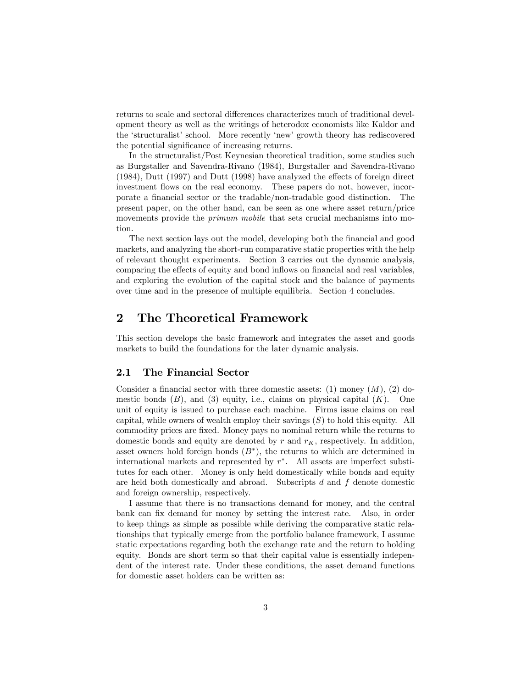returns to scale and sectoral differences characterizes much of traditional development theory as well as the writings of heterodox economists like Kaldor and the 'structuralist' school. More recently 'new' growth theory has rediscovered the potential significance of increasing returns.

In the structuralist/Post Keynesian theoretical tradition, some studies such as Burgstaller and Savendra-Rivano (1984), Burgstaller and Savendra-Rivano  $(1984)$ , Dutt  $(1997)$  and Dutt  $(1998)$  have analyzed the effects of foreign direct investment flows on the real economy. These papers do not, however, incorporate a Önancial sector or the tradable/non-tradable good distinction. The present paper, on the other hand, can be seen as one where asset return/price movements provide the *primum mobile* that sets crucial mechanisms into motion.

The next section lays out the model, developing both the financial and good markets, and analyzing the short-run comparative static properties with the help of relevant thought experiments. Section 3 carries out the dynamic analysis, comparing the effects of equity and bond inflows on financial and real variables, and exploring the evolution of the capital stock and the balance of payments over time and in the presence of multiple equilibria. Section 4 concludes.

## 2 The Theoretical Framework

This section develops the basic framework and integrates the asset and goods markets to build the foundations for the later dynamic analysis.

## 2.1 The Financial Sector

Consider a financial sector with three domestic assets: (1) money  $(M)$ , (2) domestic bonds  $(B)$ , and  $(3)$  equity, i.e., claims on physical capital  $(K)$ . One unit of equity is issued to purchase each machine. Firms issue claims on real capital, while owners of wealth employ their savings  $(S)$  to hold this equity. All commodity prices are Öxed. Money pays no nominal return while the returns to domestic bonds and equity are denoted by  $r$  and  $r_K$ , respectively. In addition, asset owners hold foreign bonds  $(B^*)$ , the returns to which are determined in international markets and represented by r . All assets are imperfect substitutes for each other. Money is only held domestically while bonds and equity are held both domestically and abroad. Subscripts  $d$  and  $f$  denote domestic and foreign ownership, respectively.

I assume that there is no transactions demand for money, and the central bank can fix demand for money by setting the interest rate. Also, in order to keep things as simple as possible while deriving the comparative static relationships that typically emerge from the portfolio balance framework, I assume static expectations regarding both the exchange rate and the return to holding equity. Bonds are short term so that their capital value is essentially independent of the interest rate. Under these conditions, the asset demand functions for domestic asset holders can be written as: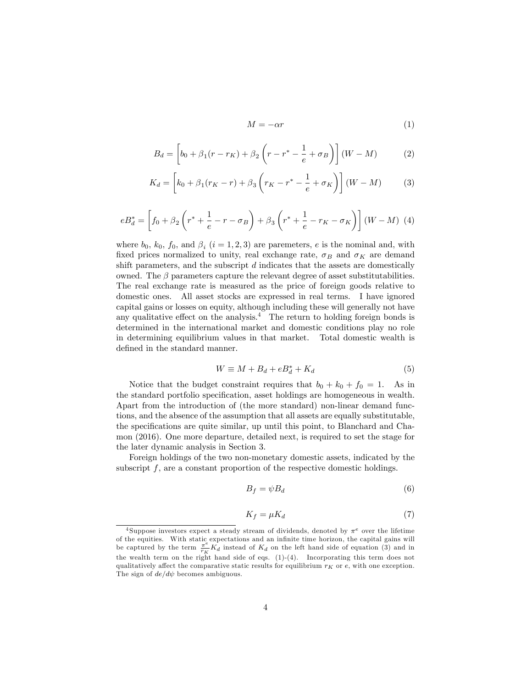$$
M = -\alpha r \tag{1}
$$

$$
B_d = \left[ b_0 + \beta_1 (r - r_K) + \beta_2 \left( r - r^* - \frac{1}{e} + \sigma_B \right) \right] (W - M) \tag{2}
$$

$$
K_d = \left[ k_0 + \beta_1 (r_K - r) + \beta_3 \left( r_K - r^* - \frac{1}{e} + \sigma_K \right) \right] (W - M) \tag{3}
$$

$$
eB_d^* = \left[ f_0 + \beta_2 \left( r^* + \frac{1}{e} - r - \sigma_B \right) + \beta_3 \left( r^* + \frac{1}{e} - r_K - \sigma_K \right) \right] (W - M) \tag{4}
$$

where  $b_0$ ,  $k_0$ ,  $f_0$ , and  $\beta_i$   $(i = 1, 2, 3)$  are paremeters, e is the nominal and, with fixed prices normalized to unity, real exchange rate,  $\sigma_B$  and  $\sigma_K$  are demand shift parameters, and the subscript  $d$  indicates that the assets are domestically owned. The  $\beta$  parameters capture the relevant degree of asset substitutabilities. The real exchange rate is measured as the price of foreign goods relative to domestic ones. All asset stocks are expressed in real terms. I have ignored capital gains or losses on equity, although including these will generally not have any qualitative effect on the analysis. $4$  The return to holding foreign bonds is determined in the international market and domestic conditions play no role in determining equilibrium values in that market. Total domestic wealth is defined in the standard manner.

$$
W \equiv M + B_d + eB_d^* + K_d \tag{5}
$$

Notice that the budget constraint requires that  $b_0 + k_0 + f_0 = 1$ . As in the standard portfolio specification, asset holdings are homogeneous in wealth. Apart from the introduction of (the more standard) non-linear demand functions, and the absence of the assumption that all assets are equally substitutable, the specifications are quite similar, up until this point, to Blanchard and Chamon (2016). One more departure, detailed next, is required to set the stage for the later dynamic analysis in Section 3.

Foreign holdings of the two non-monetary domestic assets, indicated by the subscript  $f$ , are a constant proportion of the respective domestic holdings.

$$
B_f = \psi B_d \tag{6}
$$

$$
K_f = \mu K_d \tag{7}
$$

<sup>&</sup>lt;sup>4</sup>Suppose investors expect a steady stream of dividends, denoted by  $\pi^e$  over the lifetime of the equities. With static expectations and an infinite time horizon, the capital gains will be captured by the term  $\frac{\pi e}{n} K_d$  instead of  $K_d$  on the left hand side of equation (3) and in  $\frac{\pi}{r_K} K_d$  instead of  $K_d$  on the left hand side of equation (3) and in the wealth term on the right hand side of eqs.  $(1)-(4)$ . Incorporating this term does not qualitatively affect the comparative static results for equilibrium  $r_K$  or e, with one exception. The sign of  $de/d\psi$  becomes ambiguous.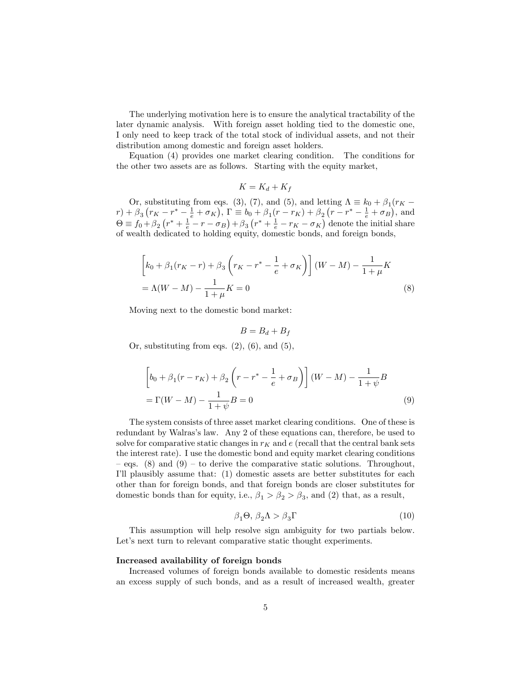The underlying motivation here is to ensure the analytical tractability of the later dynamic analysis. With foreign asset holding tied to the domestic one, I only need to keep track of the total stock of individual assets, and not their distribution among domestic and foreign asset holders.

Equation (4) provides one market clearing condition. The conditions for the other two assets are as follows. Starting with the equity market,

$$
K = K_d + K_f
$$

Or, substituting from eqs. (3), (7), and (5), and letting  $\Lambda = k_0 + \beta_1 (r_K$  $r$ ) +  $\beta_3(r_K - r^* - \frac{1}{e} + \sigma_K)$ ,  $\Gamma \equiv b_0 + \beta_1(r - r_K) + \beta_2(r - r^* - \frac{1}{e} + \sigma_B)$ , and  $\Theta \equiv f_0 + \beta_2 (r^* + \frac{1}{e} - r - \sigma_B) + \beta_3 (r^* + \frac{1}{e} - r_K - \sigma_K)$  denote the initial share of wealth dedicated to holding equity, domestic bonds, and foreign bonds,

$$
\[k_0 + \beta_1(r_K - r) + \beta_3 \left(r_K - r^* - \frac{1}{e} + \sigma_K\right)\] (W - M) - \frac{1}{1 + \mu} K
$$
  
=  $\Lambda (W - M) - \frac{1}{1 + \mu} K = 0$  (8)

Moving next to the domestic bond market:

$$
B=B_d+B_f
$$

Or, substituting from eqs.  $(2)$ ,  $(6)$ , and  $(5)$ ,

$$
\[b_0 + \beta_1(r - r_K) + \beta_2 \left(r - r^* - \frac{1}{e} + \sigma_B\right)\] (W - M) - \frac{1}{1 + \psi}B
$$
  
=  $\Gamma(W - M) - \frac{1}{1 + \psi}B = 0$  (9)

The system consists of three asset market clearing conditions. One of these is redundant by Walras's law. Any 2 of these equations can, therefore, be used to solve for comparative static changes in  $r_K$  and e (recall that the central bank sets the interest rate). I use the domestic bond and equity market clearing conditions eqs. (8) and (9) – to derive the comparative static solutions. Throughout, Iíll plausibly assume that: (1) domestic assets are better substitutes for each other than for foreign bonds, and that foreign bonds are closer substitutes for domestic bonds than for equity, i.e.,  $\beta_1 > \beta_2 > \beta_3$ , and (2) that, as a result,

$$
\beta_1 \Theta, \beta_2 \Lambda > \beta_3 \Gamma \tag{10}
$$

This assumption will help resolve sign ambiguity for two partials below. Let's next turn to relevant comparative static thought experiments.

#### Increased availability of foreign bonds

Increased volumes of foreign bonds available to domestic residents means an excess supply of such bonds, and as a result of increased wealth, greater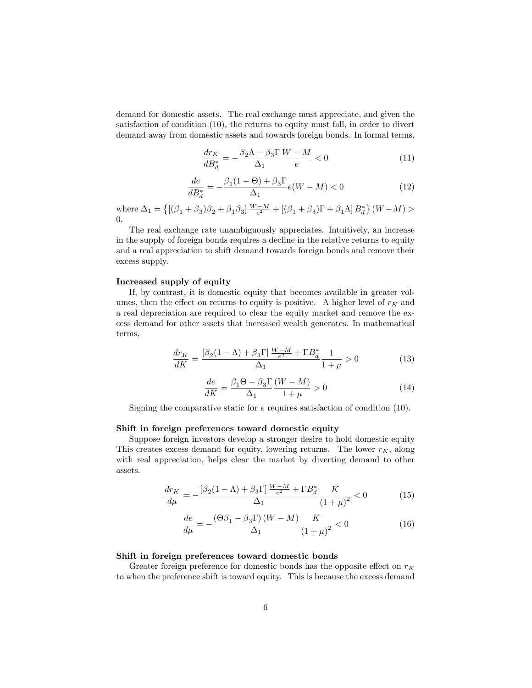demand for domestic assets. The real exchange must appreciate, and given the satisfaction of condition (10), the returns to equity must fall, in order to divert demand away from domestic assets and towards foreign bonds. In formal terms,

$$
\frac{dr_K}{dB_d^*} = -\frac{\beta_2 \Lambda - \beta_3 \Gamma}{\Delta_1} \frac{W - M}{e} < 0 \tag{11}
$$

$$
\frac{de}{dB_d^*} = -\frac{\beta_1(1-\Theta) + \beta_3 \Gamma}{\Delta_1} e(W-M) < 0 \tag{12}
$$

where  $\Delta_1 = \left\{ \left[ (\beta_1 + \beta_3)\beta_2 + \beta_1\beta_3 \right] \frac{W-M}{e^2} + \left[ (\beta_1 + \beta_3)\Gamma + \beta_1\Lambda \right] B_d^* \right\} (W-M) >$ 0.

The real exchange rate unambiguously appreciates. Intuitively, an increase in the supply of foreign bonds requires a decline in the relative returns to equity and a real appreciation to shift demand towards foreign bonds and remove their excess supply.

## Increased supply of equity

If, by contrast, it is domestic equity that becomes available in greater volumes, then the effect on returns to equity is positive. A higher level of  $r_K$  and a real depreciation are required to clear the equity market and remove the excess demand for other assets that increased wealth generates. In mathematical terms,

$$
\frac{dr_K}{dK} = \frac{\left[\beta_2(1-\Lambda) + \beta_3 \Gamma\right] \frac{W-M}{e^2} + \Gamma B_d^*}{\Delta_1} \frac{1}{1+\mu} > 0\tag{13}
$$

$$
\frac{de}{dK} = \frac{\beta_1 \Theta - \beta_3 \Gamma}{\Delta_1} \frac{(W - M)}{1 + \mu} > 0
$$
\n(14)

Signing the comparative static for  $e$  requires satisfaction of condition  $(10)$ .

#### Shift in foreign preferences toward domestic equity

Suppose foreign investors develop a stronger desire to hold domestic equity This creates excess demand for equity, lowering returns. The lower  $r_K$ , along with real appreciation, helps clear the market by diverting demand to other assets.

$$
\frac{dr_K}{d\mu} = -\frac{\left[\beta_2(1-\Lambda) + \beta_3 \Gamma\right] \frac{W-M}{e^2} + \Gamma B_d^*}{\Delta_1} \frac{K}{\left(1+\mu\right)^2} < 0 \tag{15}
$$

$$
\frac{de}{d\mu} = -\frac{\left(\Theta\beta_1 - \beta_3 \Gamma\right)(W - M)}{\Delta_1} \frac{K}{\left(1 + \mu\right)^2} < 0\tag{16}
$$

#### Shift in foreign preferences toward domestic bonds

Greater foreign preference for domestic bonds has the opposite effect on  $r_K$ to when the preference shift is toward equity. This is because the excess demand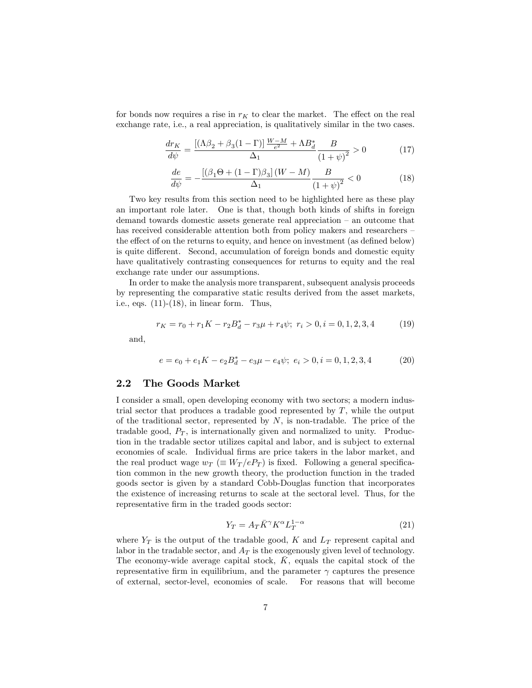for bonds now requires a rise in  $r_K$  to clear the market. The effect on the real exchange rate, i.e., a real appreciation, is qualitatively similar in the two cases.

$$
\frac{dr_K}{d\psi} = \frac{\left[ (\Lambda\beta_2 + \beta_3(1-\Gamma)] \, \frac{W-M}{e^2} + \Lambda B_d^*}{\Delta_1} \frac{B}{\left(1 + \psi\right)^2} > 0 \tag{17}
$$

$$
\frac{de}{d\psi} = -\frac{\left[\left(\beta_1 \Theta + (1 - \Gamma)\beta_3\right](W - M)}{\Delta_1} \frac{B}{\left(1 + \psi\right)^2} < 0 \tag{18}
$$

Two key results from this section need to be highlighted here as these play an important role later. One is that, though both kinds of shifts in foreign demand towards domestic assets generate real appreciation  $-$  an outcome that has received considerable attention both from policy makers and researchers the effect of on the returns to equity, and hence on investment (as defined below) is quite different. Second, accumulation of foreign bonds and domestic equity have qualitatively contrasting consequences for returns to equity and the real exchange rate under our assumptions.

In order to make the analysis more transparent, subsequent analysis proceeds by representing the comparative static results derived from the asset markets, i.e., eqs.  $(11)-(18)$ , in linear form. Thus,

$$
r_K = r_0 + r_1 K - r_2 B_d^* - r_3 \mu + r_4 \psi; \ r_i > 0, i = 0, 1, 2, 3, 4 \tag{19}
$$

and,

$$
e = e_0 + e_1 K - e_2 B_d^* - e_3 \mu - e_4 \psi; \ e_i > 0, i = 0, 1, 2, 3, 4 \tag{20}
$$

### 2.2 The Goods Market

I consider a small, open developing economy with two sectors; a modern industrial sector that produces a tradable good represented by  $T$ , while the output of the traditional sector, represented by  $N$ , is non-tradable. The price of the tradable good,  $P_T$ , is internationally given and normalized to unity. Production in the tradable sector utilizes capital and labor, and is subject to external economies of scale. Individual Örms are price takers in the labor market, and the real product wage  $w_T \equiv W_T / eP_T$  is fixed. Following a general specification common in the new growth theory, the production function in the traded goods sector is given by a standard Cobb-Douglas function that incorporates the existence of increasing returns to scale at the sectoral level. Thus, for the representative firm in the traded goods sector:

$$
Y_T = A_T \bar{K}^\gamma K^\alpha L_T^{1-\alpha} \tag{21}
$$

where  $Y_T$  is the output of the tradable good, K and  $L_T$  represent capital and labor in the tradable sector, and  $A_T$  is the exogenously given level of technology. The economy-wide average capital stock,  $K$ , equals the capital stock of the representative firm in equilibrium, and the parameter  $\gamma$  captures the presence of external, sector-level, economies of scale. For reasons that will become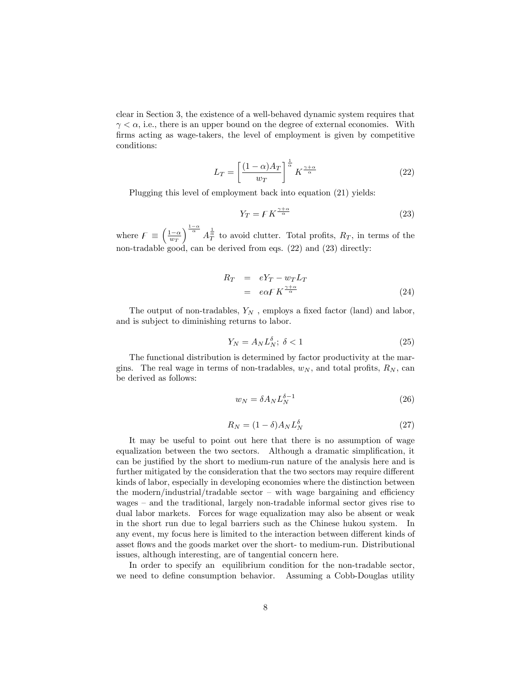clear in Section 3, the existence of a well-behaved dynamic system requires that  $\gamma < \alpha$ , i.e., there is an upper bound on the degree of external economies. With firms acting as wage-takers, the level of employment is given by competitive conditions:

$$
L_T = \left[\frac{(1-\alpha)A_T}{w_T}\right]^{\frac{1}{\alpha}} K^{\frac{\gamma+\alpha}{\alpha}}\tag{22}
$$

Plugging this level of employment back into equation (21) yields:

$$
Y_T = F K^{\frac{\gamma + \alpha}{\alpha}} \tag{23}
$$

where  $F \equiv \left(\frac{1-\alpha}{w_T}\right)$  $\int_{0}^{\frac{1-\alpha}{\alpha}} A_{\overline{T}}^{\frac{1}{\alpha}}$  to avoid clutter. Total profits,  $R_T$ , in terms of the non-tradable good, can be derived from eqs. (22) and (23) directly:

$$
R_T = eY_T - w_T L_T
$$
  
=  $e\alpha F K^{\frac{\gamma + \alpha}{\alpha}}$  (24)

The output of non-tradables,  $Y_N$ , employs a fixed factor (land) and labor, and is subject to diminishing returns to labor.

$$
Y_N = A_N L_N^{\delta}; \ \delta < 1 \tag{25}
$$

The functional distribution is determined by factor productivity at the margins. The real wage in terms of non-tradables,  $w_N$ , and total profits,  $R_N$ , can be derived as follows:

$$
w_N = \delta A_N L_N^{\delta - 1} \tag{26}
$$

$$
R_N = (1 - \delta) A_N L_N^{\delta} \tag{27}
$$

It may be useful to point out here that there is no assumption of wage equalization between the two sectors. Although a dramatic simplification, it can be justified by the short to medium-run nature of the analysis here and is further mitigated by the consideration that the two sectors may require different kinds of labor, especially in developing economies where the distinction between the modern/industrial/tradable sector  $\overline{\phantom{a}}$  with wage bargaining and efficiency wages  $-$  and the traditional, largely non-tradable informal sector gives rise to dual labor markets. Forces for wage equalization may also be absent or weak in the short run due to legal barriers such as the Chinese hukou system. In any event, my focus here is limited to the interaction between different kinds of asset flows and the goods market over the short- to medium-run. Distributional issues, although interesting, are of tangential concern here.

In order to specify an equilibrium condition for the non-tradable sector, we need to define consumption behavior. Assuming a Cobb-Douglas utility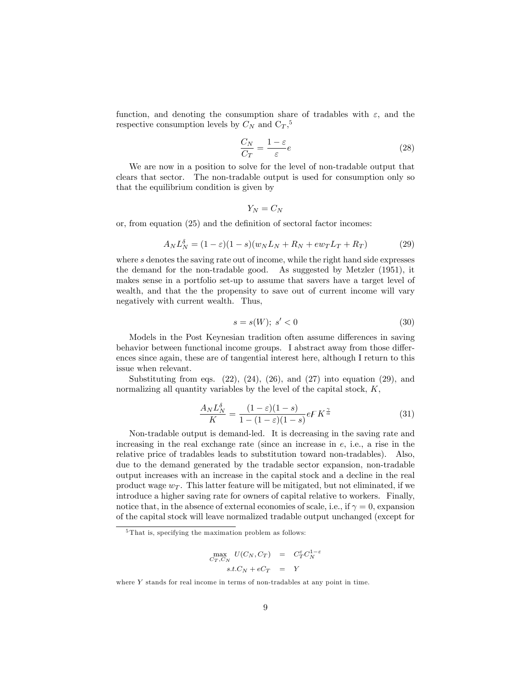function, and denoting the consumption share of tradables with  $\varepsilon$ , and the respective consumption levels by  $C_N$  and  $C_T$ ,<sup>5</sup>

$$
\frac{C_N}{C_T} = \frac{1 - \varepsilon}{\varepsilon} e \tag{28}
$$

We are now in a position to solve for the level of non-tradable output that clears that sector. The non-tradable output is used for consumption only so that the equilibrium condition is given by

$$
Y_N=C_N
$$

or, from equation  $(25)$  and the definition of sectoral factor incomes:

$$
A_N L_N^{\delta} = (1 - \varepsilon)(1 - s)(w_N L_N + R_N + e w_T L_T + R_T)
$$
\n(29)

where s denotes the saving rate out of income, while the right hand side expresses the demand for the non-tradable good. As suggested by Metzler (1951), it makes sense in a portfolio set-up to assume that savers have a target level of wealth, and that the the propensity to save out of current income will vary negatively with current wealth. Thus,

$$
s = s(W); s' < 0 \tag{30}
$$

Models in the Post Keynesian tradition often assume differences in saving behavior between functional income groups. I abstract away from those differences since again, these are of tangential interest here, although I return to this issue when relevant.

Substituting from eqs.  $(22)$ ,  $(24)$ ,  $(26)$ , and  $(27)$  into equation  $(29)$ , and normalizing all quantity variables by the level of the capital stock,  $K$ ,

$$
\frac{A_N L_N^{\delta}}{K} = \frac{(1 - \varepsilon)(1 - s)}{1 - (1 - \varepsilon)(1 - s)} eF K^{\frac{\gamma}{\alpha}}
$$
(31)

Non-tradable output is demand-led. It is decreasing in the saving rate and increasing in the real exchange rate (since an increase in  $e$ , i.e., a rise in the relative price of tradables leads to substitution toward non-tradables). Also, due to the demand generated by the tradable sector expansion, non-tradable output increases with an increase in the capital stock and a decline in the real product wage  $w_T$ . This latter feature will be mitigated, but not eliminated, if we introduce a higher saving rate for owners of capital relative to workers. Finally, notice that, in the absence of external economies of scale, i.e., if  $\gamma = 0$ , expansion of the capital stock will leave normalized tradable output unchanged (except for

$$
\begin{array}{rcl}\n\max_{C_T, C_N} & U(C_N, C_T) & = & C_T^{\varepsilon} C_N^{1-\varepsilon} \\
& s.t. C_N + eC_T & = & Y\n\end{array}
$$

where Y stands for real income in terms of non-tradables at any point in time.

<sup>&</sup>lt;sup>5</sup>That is, specifying the maximation problem as follows: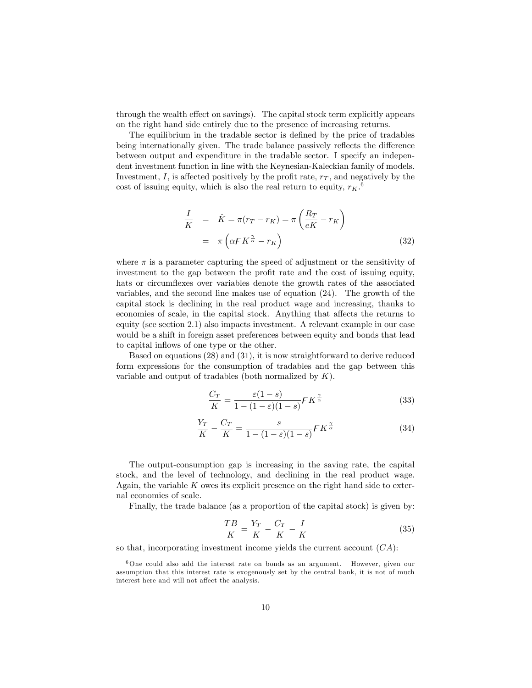through the wealth effect on savings). The capital stock term explicitly appears on the right hand side entirely due to the presence of increasing returns.

The equilibrium in the tradable sector is defined by the price of tradables being internationally given. The trade balance passively reflects the difference between output and expenditure in the tradable sector. I specify an independent investment function in line with the Keynesian-Kaleckian family of models. Investment, I, is affected positively by the profit rate,  $r<sub>T</sub>$ , and negatively by the cost of issuing equity, which is also the real return to equity,  $r_K$ .<sup>6</sup>

$$
\frac{I}{K} = \hat{K} = \pi (r_T - r_K) = \pi \left( \frac{R_T}{eK} - r_K \right)
$$
\n
$$
= \pi \left( \alpha F K^{\frac{\gamma}{\alpha}} - r_K \right) \tag{32}
$$

where  $\pi$  is a parameter capturing the speed of adjustment or the sensitivity of investment to the gap between the profit rate and the cost of issuing equity, hats or circumflexes over variables denote the growth rates of the associated variables, and the second line makes use of equation (24). The growth of the capital stock is declining in the real product wage and increasing, thanks to economies of scale, in the capital stock. Anything that affects the returns to equity (see section 2.1) also impacts investment. A relevant example in our case would be a shift in foreign asset preferences between equity and bonds that lead to capital inflows of one type or the other.

Based on equations (28) and (31), it is now straightforward to derive reduced form expressions for the consumption of tradables and the gap between this variable and output of tradables (both normalized by  $K$ ).

$$
\frac{C_T}{K} = \frac{\varepsilon (1 - s)}{1 - (1 - \varepsilon)(1 - s)} F K^{\frac{\gamma}{\alpha}} \tag{33}
$$

$$
\frac{Y_T}{K} - \frac{C_T}{K} = \frac{s}{1 - (1 - \varepsilon)(1 - s)} F K^{\frac{\gamma}{\alpha}} \tag{34}
$$

The output-consumption gap is increasing in the saving rate, the capital stock, and the level of technology, and declining in the real product wage. Again, the variable  $K$  owes its explicit presence on the right hand side to external economies of scale.

Finally, the trade balance (as a proportion of the capital stock) is given by:

$$
\frac{TB}{K} = \frac{Y_T}{K} - \frac{C_T}{K} - \frac{I}{K}
$$
\n(35)

so that, incorporating investment income yields the current account  $(CA)$ :

<sup>6</sup>One could also add the interest rate on bonds as an argument. However, given our assumption that this interest rate is exogenously set by the central bank, it is not of much interest here and will not affect the analysis.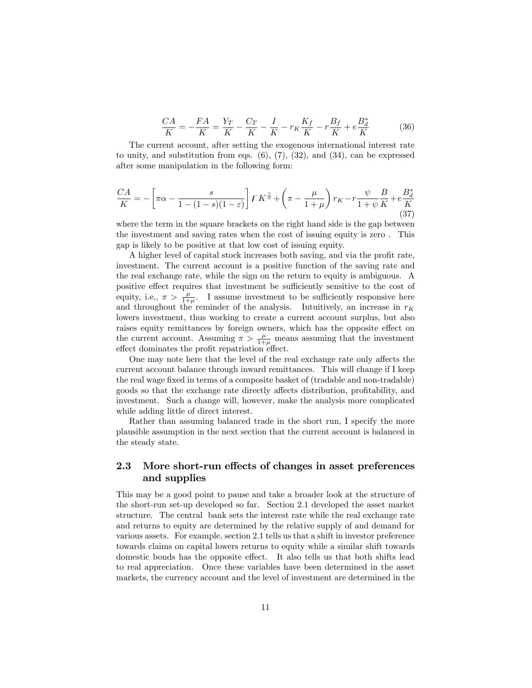$$
\frac{CA}{K} = -\frac{FA}{K} = \frac{Y_T}{K} - \frac{C_T}{K} - \frac{I}{K} - r_K \frac{K_f}{K} - r\frac{B_f}{K} + e\frac{B_d^*}{K}
$$
(36)

The current account, after setting the exogenous international interest rate to unity, and substitution from eqs.  $(6)$ ,  $(7)$ ,  $(32)$ , and  $(34)$ , can be expressed after some manipulation in the following form:

$$
\frac{CA}{K} = -\left[\pi\alpha - \frac{s}{1 - (1 - s)(1 - \varepsilon)}\right] F K^{\frac{\gamma}{\alpha}} + \left(\pi - \frac{\mu}{1 + \mu}\right) r_K - r \frac{\psi}{1 + \psi} \frac{B}{K} + e \frac{B_d^*}{K}
$$
\n(37)

where the term in the square brackets on the right hand side is the gap between the investment and saving rates when the cost of issuing equity is zero . This gap is likely to be positive at that low cost of issuing equity.

A higher level of capital stock increases both saving, and via the profit rate, investment. The current account is a positive function of the saving rate and the real exchange rate, while the sign on the return to equity is ambiguous. A positive effect requires that investment be sufficiently sensitive to the cost of equity, i.e.,  $\pi > \frac{\mu}{1+\mu}$ . I assume investment to be sufficiently responsive here and throughout the reminder of the analysis. Intuitively, an increase in  $r_K$ lowers investment, thus working to create a current account surplus, but also raises equity remittances by foreign owners, which has the opposite effect on the current account. Assuming  $\pi > \frac{\mu}{1+\mu}$  means assuming that the investment effect dominates the profit repatriation effect.

One may note here that the level of the real exchange rate only affects the current account balance through inward remittances. This will change if I keep the real wage fixed in terms of a composite basket of (tradable and non-tradable) goods so that the exchange rate directly affects distribution, profitability, and investment. Such a change will, however, make the analysis more complicated while adding little of direct interest.

Rather than assuming balanced trade in the short run, I specify the more plausible assumption in the next section that the current account is balanced in the steady state.

## 2.3 More short-run effects of changes in asset preferences and supplies

This may be a good point to pause and take a broader look at the structure of the short-run set-up developed so far. Section 2.1 developed the asset market structure. The central bank sets the interest rate while the real exchange rate and returns to equity are determined by the relative supply of and demand for various assets. For example, section 2.1 tells us that a shift in investor preference towards claims on capital lowers returns to equity while a similar shift towards domestic bonds has the opposite effect. It also tells us that both shifts lead to real appreciation. Once these variables have been determined in the asset markets, the currency account and the level of investment are determined in the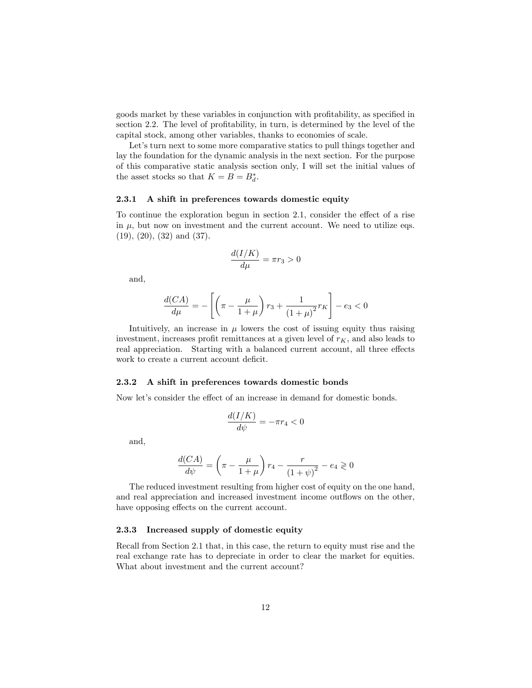goods market by these variables in conjunction with profitability, as specified in section 2.2. The level of profitability, in turn, is determined by the level of the capital stock, among other variables, thanks to economies of scale.

Let's turn next to some more comparative statics to pull things together and lay the foundation for the dynamic analysis in the next section. For the purpose of this comparative static analysis section only, I will set the initial values of the asset stocks so that  $K = B = B_d^*$ .

### 2.3.1 A shift in preferences towards domestic equity

To continue the exploration begun in section 2.1, consider the effect of a rise in  $\mu$ , but now on investment and the current account. We need to utilize eqs. (19), (20), (32) and (37).

$$
\frac{d(I/K)}{d\mu} = \pi r_3 > 0
$$

and,

$$
\frac{d(CA)}{d\mu}=-\left[\left(\pi-\frac{\mu}{1+\mu}\right)r_3+\frac{1}{\left(1+\mu\right)^2}r_K\right]-e_3<0
$$

Intuitively, an increase in  $\mu$  lowers the cost of issuing equity thus raising investment, increases profit remittances at a given level of  $r_K$ , and also leads to real appreciation. Starting with a balanced current account, all three effects work to create a current account deficit.

### 2.3.2 A shift in preferences towards domestic bonds

Now let's consider the effect of an increase in demand for domestic bonds.

$$
\frac{d(I/K)}{d\psi} = -\pi r_4 < 0
$$

and,

$$
\frac{d(CA)}{d\psi}=\left(\pi-\frac{\mu}{1+\mu}\right)r_4-\frac{r}{\left(1+\psi\right)^2}-e_4\gtrless 0
$$

The reduced investment resulting from higher cost of equity on the one hand, and real appreciation and increased investment income outflows on the other, have opposing effects on the current account.

## 2.3.3 Increased supply of domestic equity

Recall from Section 2.1 that, in this case, the return to equity must rise and the real exchange rate has to depreciate in order to clear the market for equities. What about investment and the current account?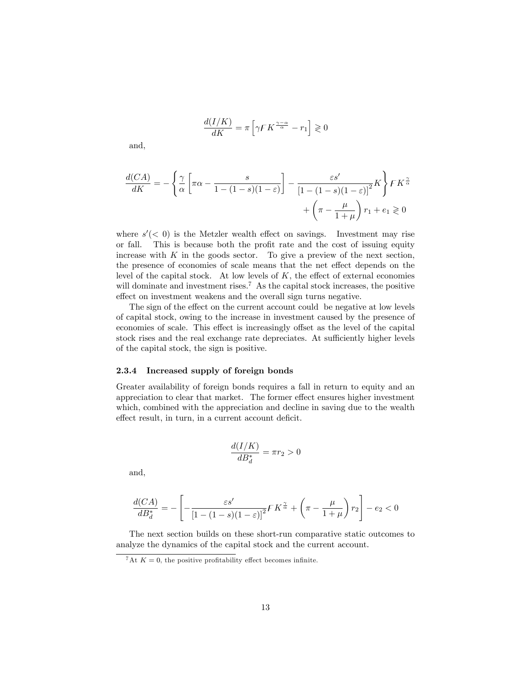$$
\frac{d(I/K)}{dK} = \pi \left[ \gamma F K^{\frac{\gamma - \alpha}{\alpha}} - r_1 \right] \geq 0
$$

and,

$$
\frac{d(CA)}{dK} = -\left\{\frac{\gamma}{\alpha} \left[\pi\alpha - \frac{s}{1 - (1 - s)(1 - \varepsilon)}\right] - \frac{\varepsilon s'}{\left[1 - (1 - s)(1 - \varepsilon)\right]^2}K\right\} F K^{\frac{\gamma}{\alpha}} + \left(\pi - \frac{\mu}{1 + \mu}\right) r_1 + e_1 \geq 0
$$

where  $s'(< 0)$  is the Metzler wealth effect on savings. Investment may rise or fall. This is because both the profit rate and the cost of issuing equity increase with  $K$  in the goods sector. To give a preview of the next section, the presence of economies of scale means that the net effect depends on the level of the capital stock. At low levels of  $K$ , the effect of external economies will dominate and investment rises.<sup>7</sup> As the capital stock increases, the positive effect on investment weakens and the overall sign turns negative.

The sign of the effect on the current account could be negative at low levels of capital stock, owing to the increase in investment caused by the presence of economies of scale. This effect is increasingly offset as the level of the capital stock rises and the real exchange rate depreciates. At sufficiently higher levels of the capital stock, the sign is positive.

### 2.3.4 Increased supply of foreign bonds

Greater availability of foreign bonds requires a fall in return to equity and an appreciation to clear that market. The former effect ensures higher investment which, combined with the appreciation and decline in saving due to the wealth effect result, in turn, in a current account deficit.

$$
\frac{d(I/K)}{dB_d^*} = \pi r_2 > 0
$$

and,

$$
\frac{d(CA)}{dB_d^*} = -\left[-\frac{\varepsilon s'}{\left[1-(1-s)(1-\varepsilon)\right]^2}FK^{\frac{\gamma}{\alpha}} + \left(\pi-\frac{\mu}{1+\mu}\right)r_2\right]-e_2<0
$$

The next section builds on these short-run comparative static outcomes to analyze the dynamics of the capital stock and the current account.

<sup>&</sup>lt;sup>7</sup>At  $K = 0$ , the positive profitability effect becomes infinite.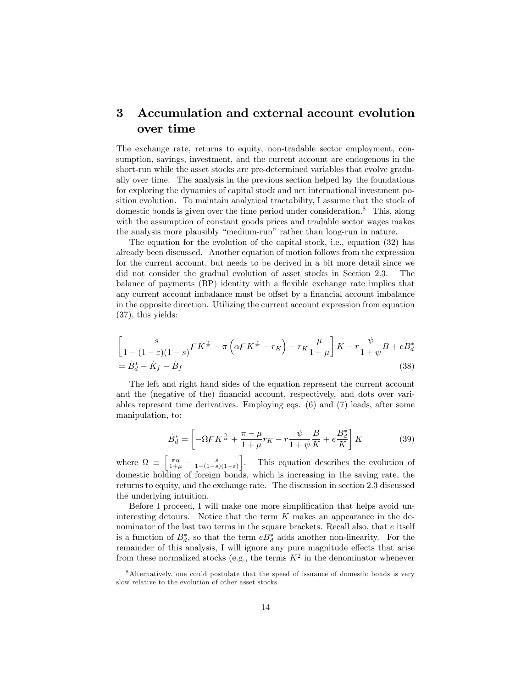# 3 Accumulation and external account evolution over time

The exchange rate, returns to equity, non-tradable sector employment, consumption, savings, investment, and the current account are endogenous in the short-run while the asset stocks are pre-determined variables that evolve gradually over time. The analysis in the previous section helped lay the foundations for exploring the dynamics of capital stock and net international investment position evolution. To maintain analytical tractability, I assume that the stock of domestic bonds is given over the time period under consideration.<sup>8</sup> This, along with the assumption of constant goods prices and tradable sector wages makes the analysis more plausibly "medium-run" rather than long-run in nature.

The equation for the evolution of the capital stock, i.e., equation (32) has already been discussed. Another equation of motion follows from the expression for the current account, but needs to be derived in a bit more detail since we did not consider the gradual evolution of asset stocks in Section 2.3. The balance of payments (BP) identity with a flexible exchange rate implies that any current account imbalance must be offset by a financial account imbalance in the opposite direction. Utilizing the current account expression from equation (37), this yields:

$$
\left[\frac{s}{1-(1-\varepsilon)(1-s)}F K^{\frac{\gamma}{\alpha}} - \pi \left(\alpha F K^{\frac{\gamma}{\alpha}} - r_K\right) - r_K \frac{\mu}{1+\mu}\right] K - r \frac{\psi}{1+\psi} B + e B_d^*
$$
  
=  $\dot{B}_d^* - \dot{K}_f - \dot{B}_f$  (38)

The left and right hand sides of the equation represent the current account and the (negative of the) financial account, respectively, and dots over variables represent time derivatives. Employing eqs. (6) and (7) leads, after some manipulation, to:

$$
\dot{B}_d^* = \left[ -\Omega F K^{\frac{\gamma}{\alpha}} + \frac{\pi - \mu}{1 + \mu} r_K - r \frac{\psi}{1 + \psi} \frac{B}{K} + e \frac{B_d^*}{K} \right] K \tag{39}
$$

where  $\Omega \equiv$  $\left[\frac{\pi\alpha}{1+\mu}\,-\,\frac{s}{1-(1-s)(1-\varepsilon)}\right.$ . This equation describes the evolution of domestic holding of foreign bonds, which is increasing in the saving rate, the returns to equity, and the exchange rate. The discussion in section 2.3 discussed the underlying intuition.

Before I proceed, I will make one more simplification that helps avoid uninteresting detours. Notice that the term  $K$  makes an appearance in the denominator of the last two terms in the square brackets. Recall also, that e itself is a function of  $B_d^*$ , so that the term  $eB_d^*$  adds another non-linearity. For the remainder of this analysis, I will ignore any pure magnitude effects that arise from these normalized stocks (e.g., the terms  $K^2$  in the denominator whenever

<sup>8</sup>Alternatively, one could postulate that the speed of issuance of domestic bonds is very slow relative to the evolution of other asset stocks.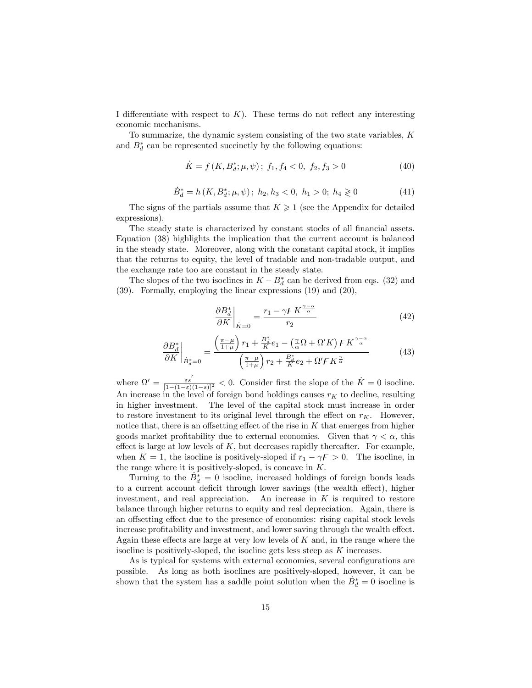I differentiate with respect to  $K$ ). These terms do not reflect any interesting economic mechanisms.

To summarize, the dynamic system consisting of the two state variables, K and  $B_d^*$  can be represented succinctly by the following equations:

$$
\dot{K} = f(K, B_d^*; \mu, \psi); \ f_1, f_4 < 0, \ f_2, f_3 > 0 \tag{40}
$$

$$
\dot{B}_d^* = h(K, B_d^*; \mu, \psi); \ h_2, h_3 < 0, \ h_1 > 0; \ h_4 \geq 0 \tag{41}
$$

The signs of the partials assume that  $K \geq 1$  (see the Appendix for detailed expressions).

The steady state is characterized by constant stocks of all financial assets. Equation (38) highlights the implication that the current account is balanced in the steady state. Moreover, along with the constant capital stock, it implies that the returns to equity, the level of tradable and non-tradable output, and the exchange rate too are constant in the steady state.

The slopes of the two isoclines in  $K - B_d^*$  can be derived from eqs. (32) and (39). Formally, employing the linear expressions (19) and (20),

$$
\left. \frac{\partial B_d^*}{\partial K} \right|_{\dot{K}=0} = \frac{r_1 - \gamma F K^{\frac{\gamma - \alpha}{\alpha}}}{r_2} \tag{42}
$$

$$
\frac{\partial B_d^*}{\partial K}\Big|_{\dot{B}_d^*=0} = \frac{\left(\frac{\pi-\mu}{1+\mu}\right)r_1 + \frac{B_d^*}{K}e_1 - \left(\frac{\gamma}{\alpha}\Omega + \Omega'K\right)FK^{\frac{\gamma-\alpha}{\alpha}}}{\left(\frac{\pi-\mu}{1+\mu}\right)r_2 + \frac{B_d^*}{K}e_2 + \Omega'FK^{\frac{\gamma}{\alpha}}}
$$
(43)

where  $\Omega' = \frac{\varepsilon s'}{[1-(1-\varepsilon)(1-s)]^2} < 0$ . Consider first the slope of the  $K = 0$  isocline. An increase in the level of foreign bond holdings causes  $r_K$  to decline, resulting in higher investment. The level of the capital stock must increase in order to restore investment to its original level through the effect on  $r_K$ . However, notice that, there is an offsetting effect of the rise in  $K$  that emerges from higher goods market profitability due to external economies. Given that  $\gamma < \alpha$ , this effect is large at low levels of  $K$ , but decreases rapidly thereafter. For example, when  $K = 1$ , the isocline is positively-sloped if  $r_1 - \gamma F > 0$ . The isocline, in the range where it is positively-sloped, is concave in  $K$ .

Turning to the  $\dot{B}_d^* = 0$  isocline, increased holdings of foreign bonds leads to a current account deficit through lower savings (the wealth effect), higher investment, and real appreciation. An increase in  $K$  is required to restore balance through higher returns to equity and real depreciation. Again, there is an offsetting effect due to the presence of economies: rising capital stock levels increase profitability and investment, and lower saving through the wealth effect. Again these effects are large at very low levels of  $K$  and, in the range where the isocline is positively-sloped, the isocline gets less steep as  $K$  increases.

As is typical for systems with external economies, several configurations are possible. As long as both isoclines are positively-sloped, however, it can be shown that the system has a saddle point solution when the  $\dot{B}_d^* = 0$  isocline is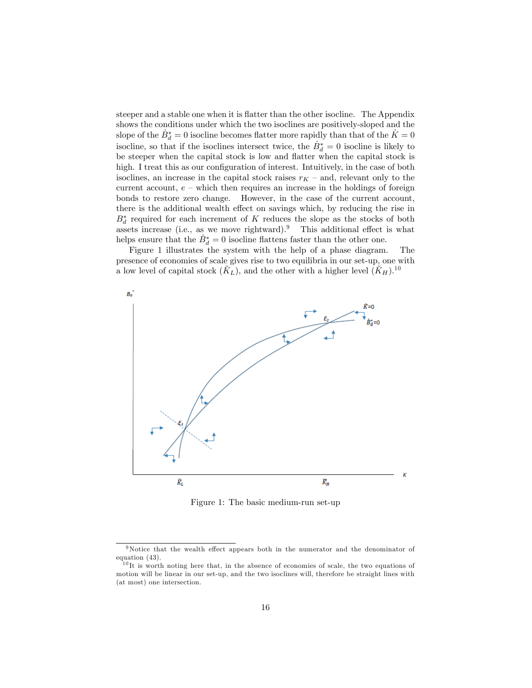steeper and a stable one when it is flatter than the other isocline. The Appendix shows the conditions under which the two isoclines are positively-sloped and the slope of the  $\dot{B}_d^* = 0$  isocline becomes flatter more rapidly than that of the  $\dot{K} = 0$ isocline, so that if the isoclines intersect twice, the  $\dot{B}_d^* = 0$  isocline is likely to be steeper when the capital stock is low and flatter when the capital stock is high. I treat this as our configuration of interest. Intuitively, in the case of both isoclines, an increase in the capital stock raises  $r_K$  – and, relevant only to the current account,  $e$  – which then requires an increase in the holdings of foreign bonds to restore zero change. However, in the case of the current account, there is the additional wealth effect on savings which, by reducing the rise in  $B_d^*$  required for each increment of K reduces the slope as the stocks of both assets increase (i.e., as we move rightward).<sup>9</sup> This additional effect is what helps ensure that the  $\dot{B}_d^* = 0$  isocline flattens faster than the other one.

Figure 1 illustrates the system with the help of a phase diagram. The presence of economies of scale gives rise to two equilibria in our set-up, one with a low level of capital stock  $(K_L)$ , and the other with a higher level  $(K_H)$ .<sup>10</sup>



Figure 1: The basic medium-run set-up

 $9$ Notice that the wealth effect appears both in the numerator and the denominator of equation (43).

<sup>10</sup> It is worth noting here that, in the absence of economies of scale, the two equations of motion will be linear in our set-up, and the two isoclines will, therefore be straight lines with (at most) one intersection.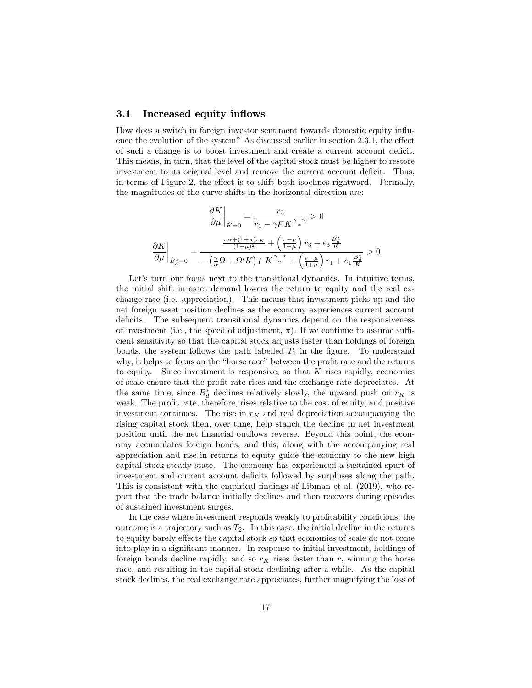## 3.1 Increased equity inflows

How does a switch in foreign investor sentiment towards domestic equity ináuence the evolution of the system? As discussed earlier in section  $2.3.1$ , the effect of such a change is to boost investment and create a current account deficit. This means, in turn, that the level of the capital stock must be higher to restore investment to its original level and remove the current account deficit. Thus, in terms of Figure 2, the effect is to shift both isoclines rightward. Formally, the magnitudes of the curve shifts in the horizontal direction are:

$$
\frac{\partial K}{\partial \mu}\Big|_{\dot{K}=0} = \frac{r_3}{r_1 - \gamma F K^{\frac{\gamma - \alpha}{\alpha}}} > 0
$$

$$
\frac{\partial K}{\partial \mu}\Big|_{\dot{B}^*_{d}=0} = \frac{\frac{\pi \alpha + (1+\pi) r_K}{(1+\mu)^2} + \left(\frac{\pi - \mu}{1+\mu}\right) r_3 + e_3 \frac{B^*_{d}}{K}}{-\left(\frac{\gamma}{\alpha} \Omega + \Omega' K\right) F K^{\frac{\gamma - \alpha}{\alpha}} + \left(\frac{\pi - \mu}{1+\mu}\right) r_1 + e_1 \frac{B^*_{d}}{K}} > 0
$$

Let's turn our focus next to the transitional dynamics. In intuitive terms, the initial shift in asset demand lowers the return to equity and the real exchange rate (i.e. appreciation). This means that investment picks up and the net foreign asset position declines as the economy experiences current account deficits. The subsequent transitional dynamics depend on the responsiveness of investment (i.e., the speed of adjustment,  $\pi$ ). If we continue to assume sufficient sensitivity so that the capital stock adjusts faster than holdings of foreign bonds, the system follows the path labelled  $T_1$  in the figure. To understand why, it helps to focus on the "horse race" between the profit rate and the returns to equity. Since investment is responsive, so that  $K$  rises rapidly, economies of scale ensure that the profit rate rises and the exchange rate depreciates. At the same time, since  $B_d^*$  declines relatively slowly, the upward push on  $r_K$  is weak. The profit rate, therefore, rises relative to the cost of equity, and positive investment continues. The rise in  $r_K$  and real depreciation accompanying the rising capital stock then, over time, help stanch the decline in net investment position until the net financial outflows reverse. Beyond this point, the economy accumulates foreign bonds, and this, along with the accompanying real appreciation and rise in returns to equity guide the economy to the new high capital stock steady state. The economy has experienced a sustained spurt of investment and current account deficits followed by surpluses along the path. This is consistent with the empirical findings of Libman et al. (2019), who report that the trade balance initially declines and then recovers during episodes of sustained investment surges.

In the case where investment responds weakly to profitability conditions, the outcome is a trajectory such as  $T_2$ . In this case, the initial decline in the returns to equity barely effects the capital stock so that economies of scale do not come into play in a significant manner. In response to initial investment, holdings of foreign bonds decline rapidly, and so  $r_K$  rises faster than r, winning the horse race, and resulting in the capital stock declining after a while. As the capital stock declines, the real exchange rate appreciates, further magnifying the loss of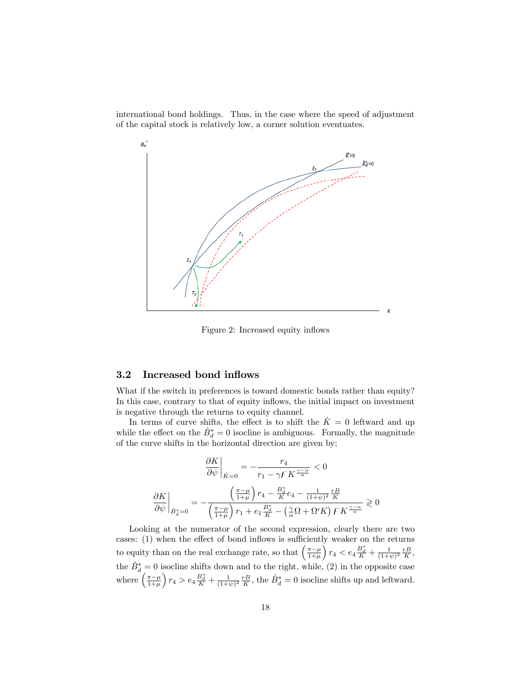international bond holdings. Thus, in the case where the speed of adjustment of the capital stock is relatively low, a corner solution eventuates.



Figure 2: Increased equity inflows

## 3.2 Increased bond inflows

What if the switch in preferences is toward domestic bonds rather than equity? In this case, contrary to that of equity inflows, the initial impact on investment is negative through the returns to equity channel.

In terms of curve shifts, the effect is to shift the  $\dot{K} = 0$  leftward and up while the effect on the  $\dot{B}_d^* = 0$  isocline is ambiguous. Formally, the magnitude of the curve shifts in the horizontal direction are given by;

$$
\left.\frac{\partial K}{\partial \psi}\right|_{\dot{K}=0} = -\frac{r_4}{r_1 - \gamma F K^{\frac{\gamma-\alpha}{\alpha}}} < 0
$$

$$
\left.\frac{\partial K}{\partial \psi}\right|_{\dot{B}^*_{a}=0} = -\frac{\left(\frac{\pi-\mu}{1+\mu}\right) r_4 - \frac{B^*_{a}}{K} e_4 - \frac{1}{(1+\psi)^2} \frac{rB}{K}}{\left(\frac{\pi-\mu}{1+\mu}\right) r_1 + e_1 \frac{B^*_{a}}{K} - \left(\frac{\gamma}{\alpha} \Omega + \Omega' K\right) F K^{\frac{\gamma-\alpha}{\alpha}}} \gtrless 0
$$

Looking at the numerator of the second expression, clearly there are two cases:  $(1)$  when the effect of bond inflows is sufficiently weaker on the returns to equity than on the real exchange rate, so that  $\left(\frac{\pi-\mu}{1+\mu}\right)$  $\int r_4 < e_4 \frac{B_d^*}{K} + \frac{1}{(1+\psi)^2} \frac{rB}{K},$ the  $\dot{B}_d^* = 0$  isocline shifts down and to the right, while, (2) in the opposite case where  $\left(\frac{\pi-\mu}{1+\mu}\right)$  $\int r_4 > e_4 \frac{B_d^*}{K} + \frac{1}{(1+\psi)^2} \frac{r}{K}$ , the  $\dot{B}_d^* = 0$  isocline shifts up and leftward.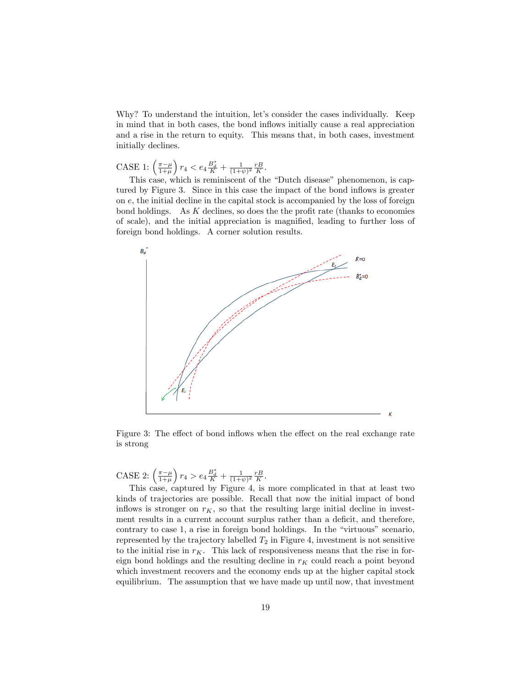Why? To understand the intuition, let's consider the cases individually. Keep in mind that in both cases, the bond inflows initially cause a real appreciation and a rise in the return to equity. This means that, in both cases, investment initially declines.

CASE 1:  $\left(\frac{\pi-\mu}{1+\mu}\right)$  $\int r_4 < e_4 \frac{B_d^*}{K} + \frac{1}{(1+\psi)^2} \frac{rB}{K}.$ 

This case, which is reminiscent of the "Dutch disease" phenomenon, is captured by Figure 3. Since in this case the impact of the bond inflows is greater on e, the initial decline in the capital stock is accompanied by the loss of foreign bond holdings. As  $K$  declines, so does the the profit rate (thanks to economies of scale), and the initial appreciation is magnified, leading to further loss of foreign bond holdings. A corner solution results.



Figure 3: The effect of bond inflows when the effect on the real exchange rate is strong

CASE 2:  $\left(\frac{\pi-\mu}{1+\mu}\right)$  $r_4 > e_4 \frac{B_d^*}{K} + \frac{1}{(1+\psi)^2} \frac{rB}{K}.$ 

This case, captured by Figure 4, is more complicated in that at least two kinds of trajectories are possible. Recall that now the initial impact of bond inflows is stronger on  $r_K$ , so that the resulting large initial decline in investment results in a current account surplus rather than a deficit, and therefore, contrary to case 1, a rise in foreign bond holdings. In the "virtuous" scenario, represented by the trajectory labelled  $T_2$  in Figure 4, investment is not sensitive to the initial rise in  $r_K$ . This lack of responsiveness means that the rise in foreign bond holdings and the resulting decline in  $r_K$  could reach a point beyond which investment recovers and the economy ends up at the higher capital stock equilibrium. The assumption that we have made up until now, that investment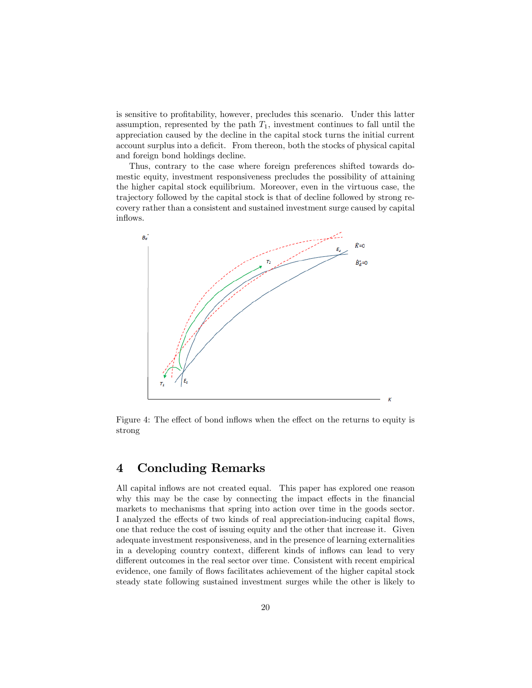is sensitive to profitability, however, precludes this scenario. Under this latter assumption, represented by the path  $T_1$ , investment continues to fall until the appreciation caused by the decline in the capital stock turns the initial current account surplus into a deficit. From thereon, both the stocks of physical capital and foreign bond holdings decline.

Thus, contrary to the case where foreign preferences shifted towards domestic equity, investment responsiveness precludes the possibility of attaining the higher capital stock equilibrium. Moreover, even in the virtuous case, the trajectory followed by the capital stock is that of decline followed by strong recovery rather than a consistent and sustained investment surge caused by capital inflows.



Figure 4: The effect of bond inflows when the effect on the returns to equity is strong

# 4 Concluding Remarks

All capital inflows are not created equal. This paper has explored one reason why this may be the case by connecting the impact effects in the financial markets to mechanisms that spring into action over time in the goods sector. I analyzed the effects of two kinds of real appreciation-inducing capital flows, one that reduce the cost of issuing equity and the other that increase it. Given adequate investment responsiveness, and in the presence of learning externalities in a developing country context, different kinds of inflows can lead to very different outcomes in the real sector over time. Consistent with recent empirical evidence, one family of flows facilitates achievement of the higher capital stock steady state following sustained investment surges while the other is likely to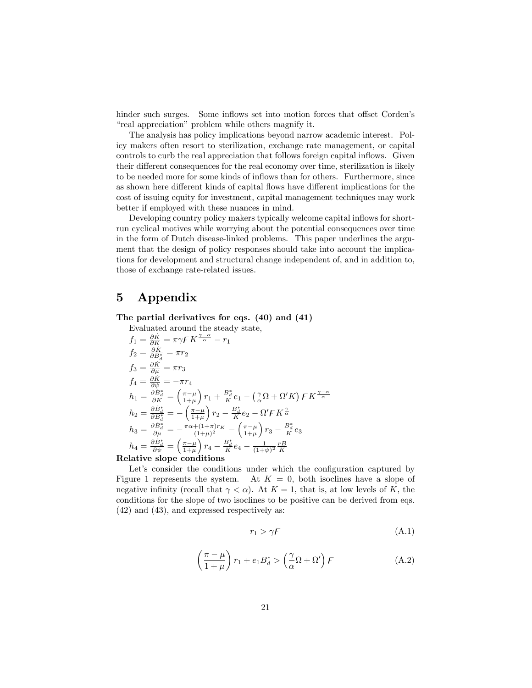hinder such surges. Some inflows set into motion forces that offset Corden's "real appreciation" problem while others magnify it.

The analysis has policy implications beyond narrow academic interest. Policy makers often resort to sterilization, exchange rate management, or capital controls to curb the real appreciation that follows foreign capital inflows. Given their different consequences for the real economy over time, sterilization is likely to be needed more for some kinds of inflows than for others. Furthermore, since as shown here different kinds of capital flows have different implications for the cost of issuing equity for investment, capital management techniques may work better if employed with these nuances in mind.

Developing country policy makers typically welcome capital inflows for shortrun cyclical motives while worrying about the potential consequences over time in the form of Dutch disease-linked problems. This paper underlines the argument that the design of policy responses should take into account the implications for development and structural change independent of, and in addition to, those of exchange rate-related issues.

# 5 Appendix

The partial derivatives for eqs. (40) and (41)

Evaluated around the steady state,  
\n
$$
f_1 = \frac{\partial \dot{K}}{\partial K} = \pi \gamma F K^{\frac{\gamma - \alpha}{\alpha}} - r_1
$$
\n
$$
f_2 = \frac{\partial \dot{K}}{\partial B_i^*} = \pi r_2
$$
\n
$$
f_3 = \frac{\partial \dot{K}}{\partial \mu} = \pi r_3
$$
\n
$$
f_4 = \frac{\partial \dot{K}}{\partial \psi} = -\pi r_4
$$
\n
$$
h_1 = \frac{\partial \dot{B}_d^*}{\partial K} = \left(\frac{\pi - \mu}{1 + \mu}\right) r_1 + \frac{B_d^*}{K} e_1 - \left(\frac{\gamma}{\alpha} \Omega + \Omega' K\right) F K^{\frac{\gamma - \alpha}{\alpha}}
$$
\n
$$
h_2 = \frac{\partial \dot{B}_d^*}{\partial B_d^*} = -\left(\frac{\pi - \mu}{1 + \mu}\right) r_2 - \frac{B_d^*}{K} e_2 - \Omega' F K^{\frac{\gamma}{\alpha}}
$$
\n
$$
h_3 = \frac{\partial \dot{B}_d^*}{\partial \mu} = -\frac{\pi \alpha + (1 + \pi) r_K}{(1 + \mu)^2} - \left(\frac{\pi - \mu}{1 + \mu}\right) r_3 - \frac{B_d^*}{K} e_3
$$
\n
$$
h_4 = \frac{\partial \dot{B}_d^*}{\partial \psi} = \left(\frac{\pi - \mu}{1 + \mu}\right) r_4 - \frac{B_d^*}{K} e_4 - \frac{1}{(1 + \psi)^2} \frac{rB}{K}
$$
\nRelative slope conditions

Let's consider the conditions under which the configuration captured by Figure 1 represents the system. At  $K = 0$ , both isoclines have a slope of negative infinity (recall that  $\gamma < \alpha$ ). At  $K = 1$ , that is, at low levels of K, the conditions for the slope of two isoclines to be positive can be derived from eqs. (42) and (43), and expressed respectively as:

$$
r_1 > \gamma F \tag{A.1}
$$

$$
\left(\frac{\pi-\mu}{1+\mu}\right)r_1 + e_1B_d^* > \left(\frac{\gamma}{\alpha}\Omega + \Omega'\right)F\tag{A.2}
$$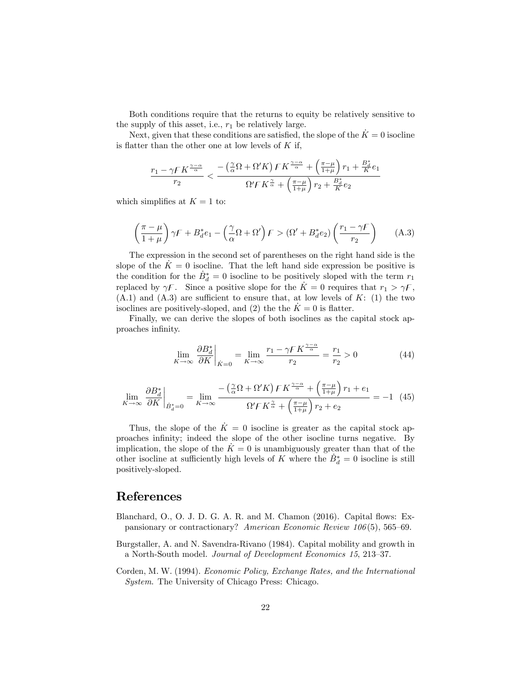Both conditions require that the returns to equity be relatively sensitive to the supply of this asset, i.e.,  $r_1$  be relatively large.

Next, given that these conditions are satisfied, the slope of the  $\dot{K} = 0$  isocline is flatter than the other one at low levels of  $K$  if,

$$
\frac{r_1 - \gamma F K^{\frac{\gamma - \alpha}{\alpha}}}{r_2} < \frac{-\left(\frac{\gamma}{\alpha}\Omega + \Omega' K\right) F K^{\frac{\gamma - \alpha}{\alpha}} + \left(\frac{\pi - \mu}{1 + \mu}\right) r_1 + \frac{B_d^*}{K} e_1}{\Omega' F K^{\frac{\gamma}{\alpha}} + \left(\frac{\pi - \mu}{1 + \mu}\right) r_2 + \frac{B_d^*}{K} e_2}
$$

which simplifies at  $K = 1$  to:

$$
\left(\frac{\pi-\mu}{1+\mu}\right)\gamma F + B_d^*e_1 - \left(\frac{\gamma}{\alpha}\Omega + \Omega'\right)F > \left(\Omega' + B_d^*e_2\right)\left(\frac{r_1-\gamma F}{r_2}\right) \tag{A.3}
$$

The expression in the second set of parentheses on the right hand side is the slope of the  $K = 0$  isocline. That the left hand side expression be positive is the condition for the  $\dot{B}_d^* = 0$  isocline to be positively sloped with the term  $r_1$ replaced by  $\gamma F$ . Since a positive slope for the  $\dot{K} = 0$  requires that  $r_1 > \gamma F$ ,  $(A.1)$  and  $(A.3)$  are sufficient to ensure that, at low levels of K: (1) the two isoclines are positively-sloped, and (2) the the  $K = 0$  is flatter.

Finally, we can derive the slopes of both isoclines as the capital stock approaches infinity.

$$
\lim_{K \to \infty} \frac{\partial B_d^*}{\partial K} \bigg|_{\dot{K}=0} = \lim_{K \to \infty} \frac{r_1 - \gamma F K^{\frac{\gamma - \alpha}{\alpha}}}{r_2} = \frac{r_1}{r_2} > 0 \tag{44}
$$

$$
\lim_{K \to \infty} \frac{\partial B_d^*}{\partial K} \bigg|_{\dot{B}_d^* = 0} = \lim_{K \to \infty} \frac{-\left(\frac{\gamma}{\alpha} \Omega + \Omega' K\right) F K^{\frac{\gamma - \alpha}{\alpha}} + \left(\frac{\pi - \mu}{1 + \mu}\right) r_1 + e_1}{\Omega' F K^{\frac{\gamma}{\alpha}} + \left(\frac{\pi - \mu}{1 + \mu}\right) r_2 + e_2} = -1 \tag{45}
$$

Thus, the slope of the  $\dot{K} = 0$  isocline is greater as the capital stock approaches infinity; indeed the slope of the other isocline turns negative. By implication, the slope of the  $\dot{K} = 0$  is unambiguously greater than that of the other isocline at sufficiently high levels of K where the  $\dot{B}_d^* = 0$  isocline is still positively-sloped.

## References

- Blanchard, O., O. J. D. G. A. R. and M. Chamon (2016). Capital flows: Expansionary or contractionary? American Economic Review  $106(5)$ , 565–69.
- Burgstaller, A. and N. Savendra-Rivano (1984). Capital mobility and growth in a North-South model. Journal of Development Economics 15, 213-37.
- Corden, M. W. (1994). Economic Policy, Exchange Rates, and the International System. The University of Chicago Press: Chicago.